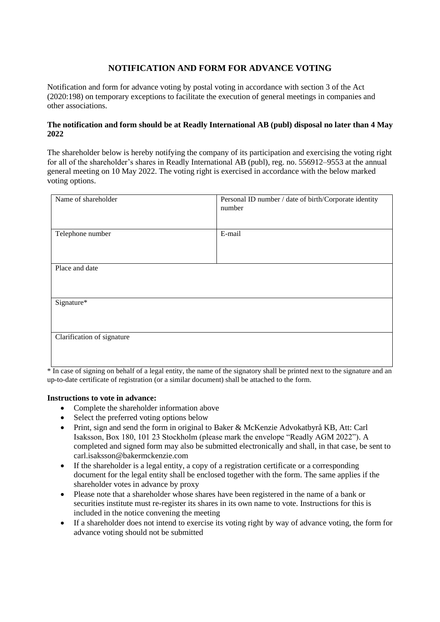## **NOTIFICATION AND FORM FOR ADVANCE VOTING**

Notification and form for advance voting by postal voting in accordance with section 3 of the Act (2020:198) on temporary exceptions to facilitate the execution of general meetings in companies and other associations.

## **The notification and form should be at Readly International AB (publ) disposal no later than 4 May 2022**

The shareholder below is hereby notifying the company of its participation and exercising the voting right for all of the shareholder's shares in Readly International AB (publ), reg. no. 556912–9553 at the annual general meeting on 10 May 2022. The voting right is exercised in accordance with the below marked voting options.

| Name of shareholder        | Personal ID number / date of birth/Corporate identity<br>number |
|----------------------------|-----------------------------------------------------------------|
| Telephone number           | E-mail                                                          |
| Place and date             |                                                                 |
| Signature*                 |                                                                 |
| Clarification of signature |                                                                 |

\* In case of signing on behalf of a legal entity, the name of the signatory shall be printed next to the signature and an up-to-date certificate of registration (or a similar document) shall be attached to the form.

## **Instructions to vote in advance:**

- Complete the shareholder information above
- Select the preferred voting options below
- Print, sign and send the form in original to Baker & McKenzie Advokatbyrå KB, Att: Carl Isaksson, Box 180, 101 23 Stockholm (please mark the envelope "Readly AGM 2022"). A completed and signed form may also be submitted electronically and shall, in that case, be sent to [carl.isaksson@bakermckenzie.com](mailto:carl.isaksson@bakermckenzie.com)
- If the shareholder is a legal entity, a copy of a registration certificate or a corresponding document for the legal entity shall be enclosed together with the form. The same applies if the shareholder votes in advance by proxy
- Please note that a shareholder whose shares have been registered in the name of a bank or securities institute must re-register its shares in its own name to vote. Instructions for this is included in the notice convening the meeting
- If a shareholder does not intend to exercise its voting right by way of advance voting, the form for advance voting should not be submitted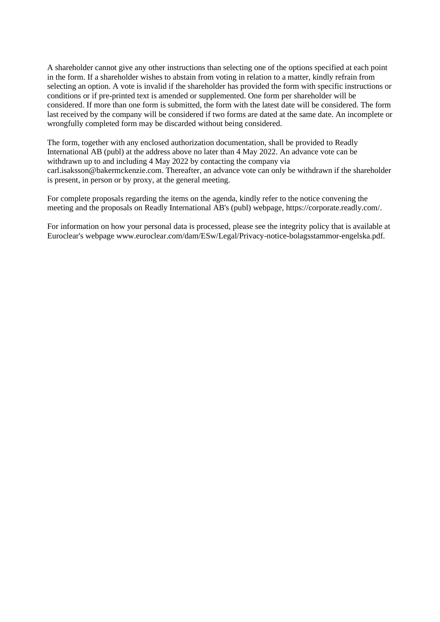A shareholder cannot give any other instructions than selecting one of the options specified at each point in the form. If a shareholder wishes to abstain from voting in relation to a matter, kindly refrain from selecting an option. A vote is invalid if the shareholder has provided the form with specific instructions or conditions or if pre-printed text is amended or supplemented. One form per shareholder will be considered. If more than one form is submitted, the form with the latest date will be considered. The form last received by the company will be considered if two forms are dated at the same date. An incomplete or wrongfully completed form may be discarded without being considered.

The form, together with any enclosed authorization documentation, shall be provided to Readly International AB (publ) at the address above no later than 4 May 2022. An advance vote can be withdrawn up to and including 4 May 2022 by contacting the company via [carl.isaksson@bakermckenzie.com.](mailto:carl.isaksson@bakermckenzie.com) Thereafter, an advance vote can only be withdrawn if the shareholder is present, in person or by proxy, at the general meeting.

For complete proposals regarding the items on the agenda, kindly refer to the notice convening the meeting and the proposals on Readly International AB's (publ) webpage, https://corporate.readly.com/.

For information on how your personal data is processed, please see the integrity policy that is available at Euroclear's webpage www.euroclear.com/dam/ESw/Legal/Privacy-notice-bolagsstammor-engelska.pdf.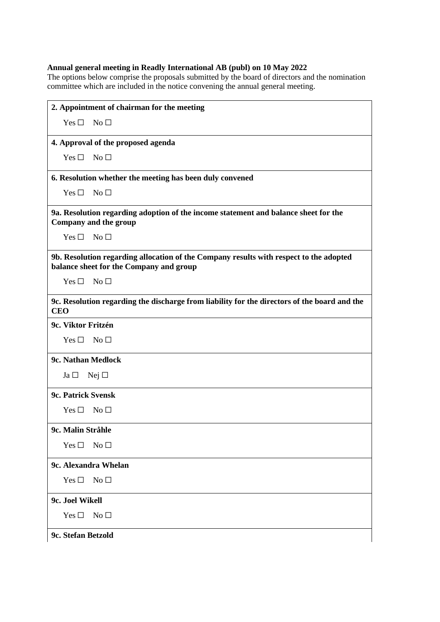## **Annual general meeting in Readly International AB (publ) on 10 May 2022**

The options below comprise the proposals submitted by the board of directors and the nomination committee which are included in the notice convening the annual general meeting.

| 2. Appointment of chairman for the meeting                                                                                        |  |
|-----------------------------------------------------------------------------------------------------------------------------------|--|
| No $\Box$<br>Yes $\square$                                                                                                        |  |
| 4. Approval of the proposed agenda                                                                                                |  |
| No $\Box$<br>Yes $\square$                                                                                                        |  |
| 6. Resolution whether the meeting has been duly convened                                                                          |  |
| No $\Box$<br>Yes $\square$                                                                                                        |  |
| 9a. Resolution regarding adoption of the income statement and balance sheet for the<br>Company and the group                      |  |
| $Yes \Box No \Box$                                                                                                                |  |
| 9b. Resolution regarding allocation of the Company results with respect to the adopted<br>balance sheet for the Company and group |  |
| $Yes \Box No \Box$                                                                                                                |  |
| 9c. Resolution regarding the discharge from liability for the directors of the board and the<br><b>CEO</b>                        |  |
| 9c. Viktor Fritzén                                                                                                                |  |
| $Yes \Box No \Box$                                                                                                                |  |
| 9c. Nathan Medlock                                                                                                                |  |
| $Ja \Box$ Nej $\Box$                                                                                                              |  |
| 9c. Patrick Svensk                                                                                                                |  |
| $Yes \Box No \Box$                                                                                                                |  |
| 9c. Malin Stråhle                                                                                                                 |  |
| No <sub>1</sub><br>Yes $\square$                                                                                                  |  |
| 9c. Alexandra Whelan                                                                                                              |  |
| Yes $\square$<br>No $\square$                                                                                                     |  |
| 9c. Joel Wikell                                                                                                                   |  |
| Yes $\Box$<br>No <sub>1</sub>                                                                                                     |  |
| 9c. Stefan Betzold                                                                                                                |  |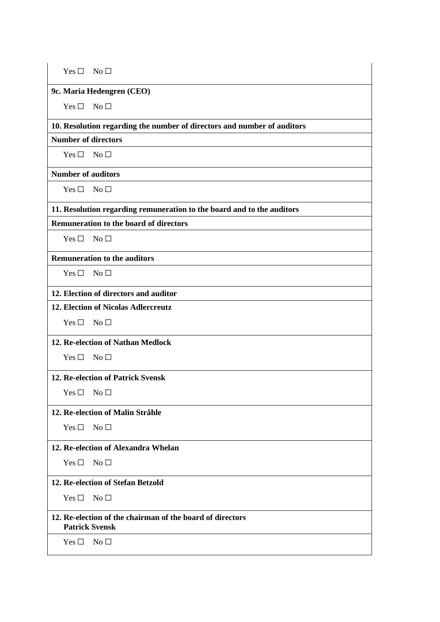| $Yes \Box No \Box$                                                                 |                                                                        |  |
|------------------------------------------------------------------------------------|------------------------------------------------------------------------|--|
|                                                                                    | 9c. Maria Hedengren (CEO)                                              |  |
| Yes $\Box$                                                                         | $\overline{\phantom{a}}$ No $\Box$                                     |  |
| 10. Resolution regarding the number of directors and number of auditors            |                                                                        |  |
| <b>Number of directors</b>                                                         |                                                                        |  |
| $Yes \Box No \Box$                                                                 |                                                                        |  |
| <b>Number of auditors</b>                                                          |                                                                        |  |
| $Yes \Box No \Box$                                                                 |                                                                        |  |
|                                                                                    | 11. Resolution regarding remuneration to the board and to the auditors |  |
|                                                                                    | <b>Remuneration to the board of directors</b>                          |  |
| $Yes \Box No \Box$                                                                 |                                                                        |  |
|                                                                                    | <b>Remuneration to the auditors</b>                                    |  |
| $Yes \Box No \Box$                                                                 |                                                                        |  |
|                                                                                    | 12. Election of directors and auditor                                  |  |
|                                                                                    | 12. Election of Nicolas Adlercreutz                                    |  |
| Yes $\Box$                                                                         | No <sub>1</sub>                                                        |  |
| 12. Re-election of Nathan Medlock                                                  |                                                                        |  |
| $Yes \Box No \Box$                                                                 |                                                                        |  |
| <b>12. Re-election of Patrick Svensk</b>                                           |                                                                        |  |
| Yes $\square$                                                                      | No <sub>1</sub>                                                        |  |
| 12. Re-election of Malin Stråhle                                                   |                                                                        |  |
| Yes $\Box$                                                                         | No <sub>1</sub>                                                        |  |
|                                                                                    | 12. Re-election of Alexandra Whelan                                    |  |
| Yes $\square$                                                                      | No <sub>1</sub>                                                        |  |
|                                                                                    | 12. Re-election of Stefan Betzold                                      |  |
| Yes $\square$                                                                      | No <sub>1</sub>                                                        |  |
| 12. Re-election of the chairman of the board of directors<br><b>Patrick Svensk</b> |                                                                        |  |
| Yes $\square$                                                                      | No <sub>1</sub>                                                        |  |